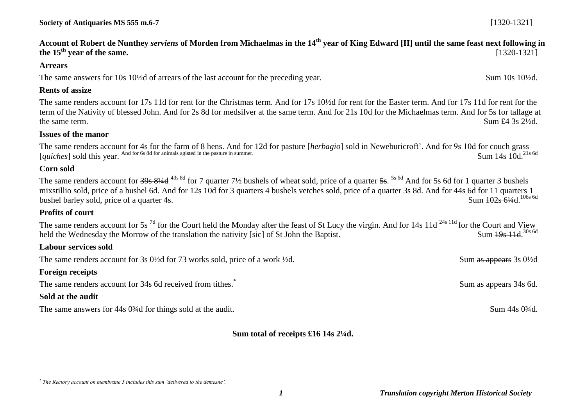**Account of Robert de Nunthey** *serviens* **of Morden from Michaelmas in the 14th year of King Edward [II] until the same feast next following in the 15th year of the same.** [1320-1321]

#### **Arrears**

The same answers for 10s 10<sup>1</sup>/2d of arrears of the last account for the preceding year. Sum 10s 10<sup>1</sup>/2d.

#### **Rents of assize**

The same renders account for 17s 11d for rent for the Christmas term. And for 17s 10½d for rent for the Easter term. And for 17s 11d for rent for the term of the Nativity of blessed John. And for 2s 8d for medsilver at the same term. And for 21s 10d for the Michaelmas term. And for 5s for tallage at the same term. Sum  $\pounds 4$  3s  $2\frac{1}{2}$ d.

#### **Issues of the manor**

The same renders account for 4s for the farm of 8 hens. And for 12d for pasture [*herbagio*] sold in Neweburicroft'. And for 9s 10d for couch grass [*quiches*] sold this year. And for 6s 8d for animals agisted in the pasture in summer. Sum 14s 10d 21s 6d

### **Corn sold**

The same renders account for <del>39s 8¼d</del> <sup>43s 8d</sup> for 7 quarter 7½ bushels of wheat sold, price of a quarter 5s. <sup>5s 6d</sup> And for 5s 6d for 1 quarter 3 bushels mixstillio sold, price of a bushel 6d. And for 12s 10d for 3 quarters 4 bushels vetches sold, price of a quarter 3s 8d. And for 44s 6d for 11 quarters 1 bushel barley sold, price of a quarter 4s. Sum 102s 61/4d 106s 6d

### **Profits of court**

The same renders account for 5s<sup>7d</sup> for the Court held the Monday after the feast of St Lucy the virgin. And for  $\frac{14s}{11d}$  <sup>24s 11d</sup> for the Court and View held the Wednesday the Morrow of the translation the nativity [sic] of St John the Baptist. Sum 19s 11d 30s 6d

### **Labour services sold**

The same renders account for 3s 0<sup>1/2</sup>d for 73 works sold, price of a work <sup>1/2</sup>d. Sum as appears 3s 0<sup>1/2d</sup>

### **Foreign receipts**

The same renders account for 34s 6d received from tithes.<sup>\*</sup>

## **Sold at the audit**

 $\overline{a}$ 

The same answers for 44s 0<sup>3</sup>/4d for things sold at the audit. Sum 44s 0<sup>3</sup>/4d.

### **Sum total of receipts £16 14s 2¼d.**

Sum as appears 34s 6d.

*<sup>\*</sup> The Rectory account on membrane 5 includes this sum 'delivered to the demesne'.*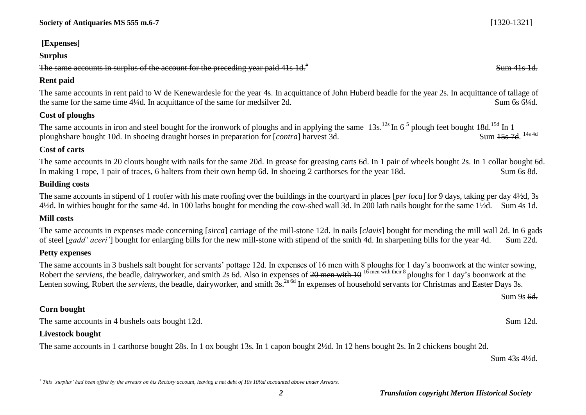## **[Expenses]**

### **Surplus**

The same accounts in surplus of the account for the preceding year paid 41s  $1d<sup>†</sup>$ 

## **Rent paid**

The same accounts in rent paid to W de Kenewardesle for the year 4s. In acquittance of John Huberd beadle for the year 2s. In acquittance of tallage of the same for the same time 4¼d. In acquittance of the same for medsilver 2d. Sum 6s 6¼d.

## **Cost of ploughs**

The same accounts in iron and steel bought for the ironwork of ploughs and in applying the same  $13s$ .<sup>12s</sup> In  $6^5$  plough feet bought  $18d$ .<sup>15d</sup> In 1 ploughshare bought 10d. In shoeing draught horses in preparation for [*contra*] harvest 3d. Sum 15s 7d 14s 4d

# **Cost of carts**

The same accounts in 20 clouts bought with nails for the same 20d. In grease for greasing carts 6d. In 1 pair of wheels bought 2s. In 1 collar bought 6d. In making 1 rope, 1 pair of traces, 6 halters from their own hemp 6d. In shoeing 2 carthorses for the year 18d. Sum 6s 8d.

# **Building costs**

The same accounts in stipend of 1 roofer with his mate roofing over the buildings in the courtyard in places [*per loca*] for 9 days, taking per day 4½d, 3s 4½d. In withies bought for the same 4d. In 100 laths bought for mending the cow-shed wall 3d. In 200 lath nails bought for the same 1½d. Sum 4s 1d.

# **Mill costs**

The same accounts in expenses made concerning [*sirca*] carriage of the mill-stone 12d. In nails [*clavis*] bought for mending the mill wall 2d. In 6 gads of steel [*gadd' aceri'*] bought for enlarging bills for the new mill-stone with stipend of the smith 4d. In sharpening bills for the year 4d. Sum 22d.

# **Petty expenses**

The same accounts in 3 bushels salt bought for servants' pottage 12d. In expenses of 16 men with 8 ploughs for 1 day's boonwork at the winter sowing, Robert the *serviens*, the beadle, dairyworker, and smith 2s 6d. Also in expenses of <del>20 men with 10</del> <sup>16</sup> men with their 8 ploughs for 1 day's boonwork at the Lenten sowing, Robert the *serviens*, the beadle, dairyworker, and smith  $\frac{2}{35}$ <sup>2s 6d</sup> In expenses of household servants for Christmas and Easter Days 3s.

**Corn bought**

The same accounts in 4 bushels oats bought 12d. Sum 12d.

# **Livestock bought**

The same accounts in 1 carthorse bought 28s. In 1 ox bought 13s. In 1 capon bought 2½d. In 12 hens bought 2s. In 2 chickens bought 2d.

Sum 43s 4½d.

Sum 41s 1d.

Sum 9s 6<del>d.</del>

 $\overline{a}$ *† This 'surplus' had been offset by the arrears on his Rectory account, leaving a net debt of 10s 10½d accounted above under Arrears.*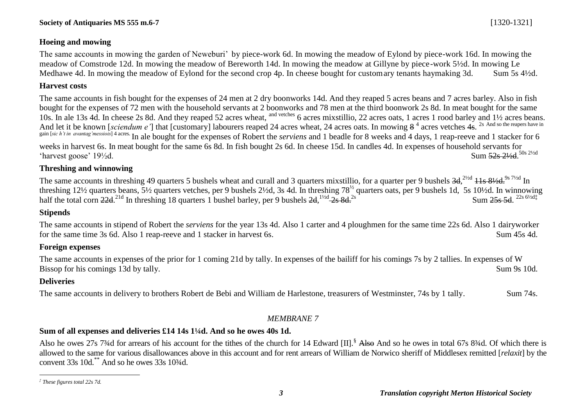### **Hoeing and mowing**

The same accounts in mowing the garden of Neweburi' by piece-work 6d. In mowing the meadow of Eylond by piece-work 16d. In mowing the meadow of Comstrode 12d. In mowing the meadow of Bereworth 14d. In mowing the meadow at Gillyne by piece-work 5½d. In mowing Le Medhawe 4d. In mowing the meadow of Eylond for the second crop 4p. In cheese bought for customary tenants haymaking 3d. Sum 5s 4½d.

## **Harvest costs**

The same accounts in fish bought for the expenses of 24 men at 2 dry boonworks 14d. And they reaped 5 acres beans and 7 acres barley. Also in fish bought for the expenses of 72 men with the household servants at 2 boonworks and 78 men at the third boonwork 2s 8d. In meat bought for the same 10s. In ale 13s 4d. In cheese 2s 8d. And they reaped 52 acres wheat, and vetches 6 acres mixstillio, 22 acres oats, 1 acres 1 rood barley and 1½ acres beans. And let it be known [*sciendum e*'] that [customary] labourers reaped 24 acres wheat, 24 acres oats. In mowing  $8<sup>4</sup>$  acres vetches  $4s$ . <sup>2s And so the reapers have in</sup> gain [sic h't in avantag messiois] 4 acres. In ale bought for the expenses of Robert the *serviens* and 1 beadle for 8 weeks and 4 days, 1 reap-reeve and 1 stacker for 6 weeks in harvest 6s. In meat bought for the same 6s 8d. In fish bought 2s 6d. In cheese 15d. In candles 4d. In expenses of household servants for 'harvest goose'  $19\frac{1}{2}d$ . Sum 52s 21/2d. 50s 21/2d

### **Threshing and winnowing**

The same accounts in threshing 49 quarters 5 bushels wheat and curall and 3 quarters mixstillio, for a quarter per 9 bushels  $3d,^{2\frac{1}{2}d} 11s$   $8\frac{1}{2}d$ ,  $^{9s} 7\frac{1}{2}d$  In threshing 12½ quarters beans, 5½ quarters vetches, per 9 bushels 2½d, 3s 4d. In threshing 78<sup>½</sup> quarters oats, per 9 bushels 1d, 5s 10½d. In winnowing half the total corn  $22d^{21d}$  In threshing 18 quarters 1 bushel barley, per 9 bushels  $2d$ ,  $\frac{1\frac{1}{2}d}{2s}$  8d.<sup>2s</sup>  $\frac{25s}{64}$ 

## **Stipends**

The same accounts in stipend of Robert the *serviens* for the year 13s 4d. Also 1 carter and 4 ploughmen for the same time 22s 6d. Also 1 dairyworker for the same time 3s 6d. Also 1 reap-reeve and 1 stacker in harvest 6s. Sum 45s 4d.

## **Foreign expenses**

The same accounts in expenses of the prior for 1 coming 21d by tally. In expenses of the bailiff for his comings 7s by 2 tallies. In expenses of W Bissop for his comings 13d by tally. Sum 9s 10d.

## **Deliveries**

The same accounts in delivery to brothers Robert de Bebi and William de Harlestone, treasurers of Westminster, 74s by 1 tally. Sum 74s.

### *MEMBRANE 7*

## **Sum of all expenses and deliveries £14 14s 1¼d. And so he owes 40s 1d.**

Also he owes 27s 7<sup>3</sup>/4d for arrears of his account for the tithes of the church for 14 Edward  $\text{III}$ .<sup>§</sup> Also And so he owes in total 67s 8<sup>3</sup>/4d. Of which there is allowed to the same for various disallowances above in this account and for rent arrears of William de Norwico sheriff of Middlesex remitted [*relaxit*] by the convent  $33s$  10d.\*\* And so he owes  $33s$  10 $\frac{3}{4}$ d.

 $\overline{a}$ *‡ These figures total 22s 7d.*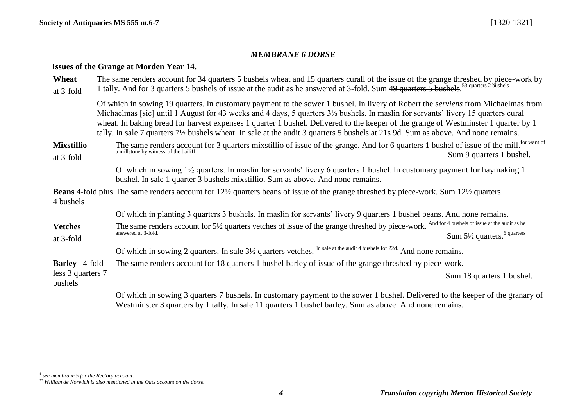### *MEMBRANE 6 DORSE*

### **Issues of the Grange at Morden Year 14.**

| Wheat<br>at 3-fold             | The same renders account for 34 quarters 5 bushels wheat and 15 quarters curall of the issue of the grange threshed by piece-work by<br>1 tally. And for 3 quarters 5 bushels of issue at the audit as he answered at 3-fold. Sum 49 quarters 5 bushels. <sup>53 quarters 2 bushels</sup>                                                                                                                                                                                                                                                               |
|--------------------------------|---------------------------------------------------------------------------------------------------------------------------------------------------------------------------------------------------------------------------------------------------------------------------------------------------------------------------------------------------------------------------------------------------------------------------------------------------------------------------------------------------------------------------------------------------------|
|                                | Of which in sowing 19 quarters. In customary payment to the sower 1 bushel. In livery of Robert the <i>serviens</i> from Michaelmas from<br>Michaelmas [sic] until 1 August for 43 weeks and 4 days, 5 quarters 3½ bushels. In maslin for servants' livery 15 quarters cural<br>wheat. In baking bread for harvest expenses 1 quarter 1 bushel. Delivered to the keeper of the grange of Westminster 1 quarter by 1<br>tally. In sale 7 quarters 7½ bushels wheat. In sale at the audit 3 quarters 5 bushels at 21s 9d. Sum as above. And none remains. |
| <b>Mixstillio</b><br>at 3-fold | The same renders account for 3 quarters mixstillio of issue of the grange. And for 6 quarters 1 bushel of issue of the mill. <sup>for want of</sup><br>a millstone by witness of the bailiff<br>Sum 9 quarters 1 bushel.                                                                                                                                                                                                                                                                                                                                |
|                                | Of which in sowing 1 <sup>1</sup> / <sub>2</sub> quarters. In maslin for servants' livery 6 quarters 1 bushel. In customary payment for haymaking 1<br>bushel. In sale 1 quarter 3 bushels mixstillio. Sum as above. And none remains.                                                                                                                                                                                                                                                                                                                  |
| 4 bushels                      | <b>Beans</b> 4-fold plus The same renders account for 12 <sup>1</sup> / <sub>2</sub> quarters beans of issue of the grange threshed by piece-work. Sum 12 <sup>1</sup> / <sub>2</sub> quarters.                                                                                                                                                                                                                                                                                                                                                         |
|                                | Of which in planting 3 quarters 3 bushels. In maslin for servants' livery 9 quarters 1 bushel beans. And none remains.                                                                                                                                                                                                                                                                                                                                                                                                                                  |
| <b>Vetches</b><br>at 3-fold    | The same renders account for $5\frac{1}{2}$ quarters vetches of issue of the grange threshed by piece-work. And for 4 bushels of issue at the audit as he<br>answered at 3-fold.<br>Sum 51/2 quarters. <sup>6</sup> quarters                                                                                                                                                                                                                                                                                                                            |
|                                | Of which in sowing 2 quarters. In sale 3½ quarters vetches. In sale at the audit 4 bushels for 22d. And none remains.                                                                                                                                                                                                                                                                                                                                                                                                                                   |
| <b>Barley</b> 4-fold           | The same renders account for 18 quarters 1 bushel barley of issue of the grange threshed by piece-work.                                                                                                                                                                                                                                                                                                                                                                                                                                                 |
| less 3 quarters 7<br>bushels   | Sum 18 quarters 1 bushel.                                                                                                                                                                                                                                                                                                                                                                                                                                                                                                                               |
|                                | Of which in sowing 3 quarters 7 bushels. In customary payment to the sower 1 bushel. Delivered to the keeper of the granary of<br>Westminster 3 quarters by 1 tally. In sale 11 quarters 1 bushel barley. Sum as above. And none remains.                                                                                                                                                                                                                                                                                                               |

*§ see membrane 5 for the Rectory account.*

*\*\* William de Norwich is also mentioned in the Oats account on the dorse.*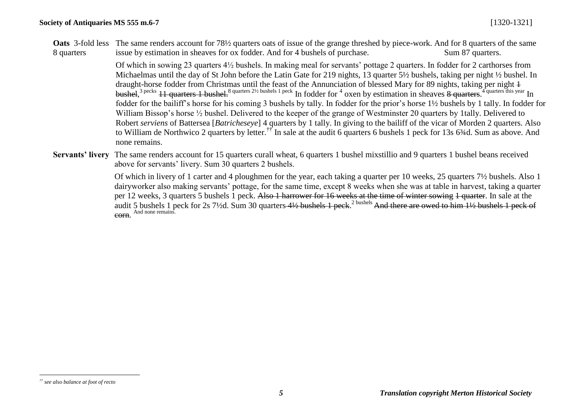**Oats** 3-fold less The same renders account for 78½ quarters oats of issue of the grange threshed by piece-work. And for 8 quarters of the same 8 quarters issue by estimation in sheaves for ox fodder. And for 4 bushels of purchase. Sum 87 quarters.

> Of which in sowing 23 quarters 4½ bushels. In making meal for servants' pottage 2 quarters. In fodder for 2 carthorses from Michaelmas until the day of St John before the Latin Gate for 219 nights, 13 quarter 5½ bushels, taking per night ½ bushel. In draught-horse fodder from Christmas until the feast of the Annunciation of blessed Mary for 89 nights, taking per night 1 bushel,<sup>3 pecks</sup> 11 quarters 1 bushel.<sup>8 quarters 21/2 bushels 1 peck</sup> In fodder for <sup>4</sup> oxen by estimation in sheaves  $\frac{8}{9}$  quarters.<sup>4 quarters this year</sup> In fodder for the bailiff's horse for his coming 3 bushels by tally. In fodder for the prior's horse 1½ bushels by 1 tally. In fodder for William Bissop's horse ½ bushel. Delivered to the keeper of the grange of Westminster 20 quarters by 1tally. Delivered to Robert *serviens* of Battersea [*Batricheseye*] 4 quarters by 1 tally. In giving to the bailiff of the vicar of Morden 2 quarters. Also to William de Northwico 2 quarters by letter.<sup>††</sup> In sale at the audit 6 quarters 6 bushels 1 peck for 13s 6<sup>3</sup>/4d. Sum as above. And none remains.

**Servants' livery** The same renders account for 15 quarters curall wheat, 6 quarters 1 bushel mixstillio and 9 quarters 1 bushel beans received above for servants' livery. Sum 30 quarters 2 bushels.

> Of which in livery of 1 carter and 4 ploughmen for the year, each taking a quarter per 10 weeks, 25 quarters 7½ bushels. Also 1 dairyworker also making servants' pottage, for the same time, except 8 weeks when she was at table in harvest, taking a quarter per 12 weeks, 3 quarters 5 bushels 1 peck. Also 1 harrower for 16 weeks at the time of winter sowing 1 quarter. In sale at the audit 5 bushels 1 peck for 2s 7½d. Sum 30 quarters 4½ bushels 1 peck.<sup>2 bushels</sup> And there are owed to him 1½ bushels 1 peck of **COFH.** And none remains.

 $\overline{a}$ *†† see also balance at foot of recto*